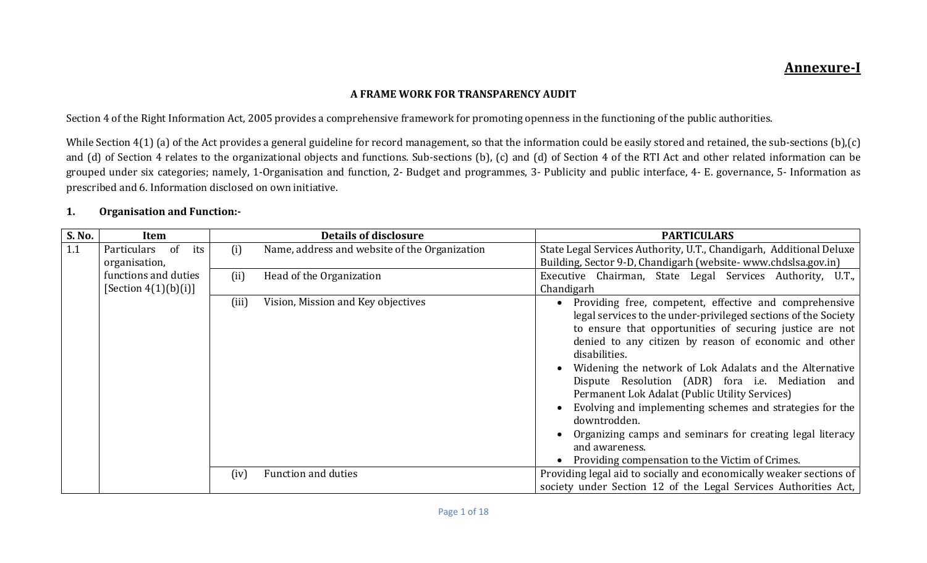# Annexure-I

#### A FRAME WORK FOR TRANSPARENCY AUDIT

Section 4 of the Right Information Act, 2005 provides a comprehensive framework for promoting openness in the functioning of the public authorities.

While Section  $4(1)$  (a) of the Act provides a general guideline for record management, so that the information could be easily stored and retained, the sub-sections (b),(c) and (d) of Section 4 relates to the organizational objects and functions. Sub-sections (b), (c) and (d) of Section 4 of the RTI Act and other related information can be grouped under six categories; namely, 1-Organisation and function, 2- Budget and programmes, 3- Publicity and public interface, 4- E. governance, 5- Information as prescribed and 6. Information disclosed on own initiative.

#### 1. Organisation and Function:-

| S. No. | Item                    |       | <b>Details of disclosure</b>                  | <b>PARTICULARS</b>                                                                                                                                                                                                                                                                                                                                                                                                                                                                                                                                                                                                                            |
|--------|-------------------------|-------|-----------------------------------------------|-----------------------------------------------------------------------------------------------------------------------------------------------------------------------------------------------------------------------------------------------------------------------------------------------------------------------------------------------------------------------------------------------------------------------------------------------------------------------------------------------------------------------------------------------------------------------------------------------------------------------------------------------|
| 1.1    | Particulars of<br>its   | (i)   | Name, address and website of the Organization | State Legal Services Authority, U.T., Chandigarh, Additional Deluxe                                                                                                                                                                                                                                                                                                                                                                                                                                                                                                                                                                           |
|        | organisation,           |       |                                               | Building, Sector 9-D, Chandigarh (website-www.chdslsa.gov.in)                                                                                                                                                                                                                                                                                                                                                                                                                                                                                                                                                                                 |
|        | functions and duties    | (ii)  | Head of the Organization                      | Executive Chairman, State Legal Services Authority, U.T.,                                                                                                                                                                                                                                                                                                                                                                                                                                                                                                                                                                                     |
|        | [Section $4(1)(b)(i)$ ] |       |                                               | Chandigarh                                                                                                                                                                                                                                                                                                                                                                                                                                                                                                                                                                                                                                    |
|        |                         | (iii) | Vision, Mission and Key objectives            | Providing free, competent, effective and comprehensive<br>legal services to the under-privileged sections of the Society<br>to ensure that opportunities of securing justice are not<br>denied to any citizen by reason of economic and other<br>disabilities.<br>Widening the network of Lok Adalats and the Alternative<br>Dispute Resolution (ADR) fora i.e. Mediation and<br>Permanent Lok Adalat (Public Utility Services)<br>Evolving and implementing schemes and strategies for the<br>downtrodden.<br>Organizing camps and seminars for creating legal literacy<br>and awareness.<br>Providing compensation to the Victim of Crimes. |
|        |                         | (iv)  | <b>Function and duties</b>                    | Providing legal aid to socially and economically weaker sections of                                                                                                                                                                                                                                                                                                                                                                                                                                                                                                                                                                           |
|        |                         |       |                                               | society under Section 12 of the Legal Services Authorities Act,                                                                                                                                                                                                                                                                                                                                                                                                                                                                                                                                                                               |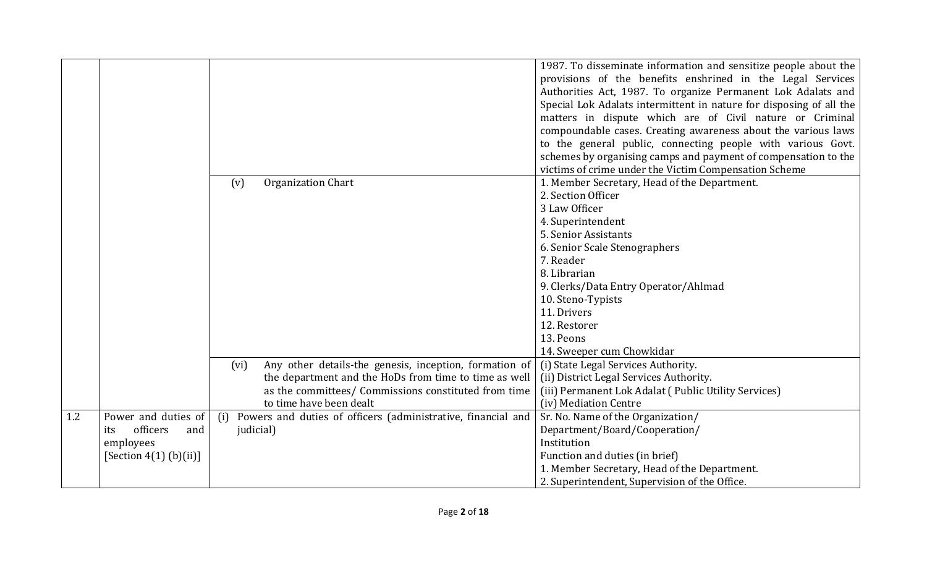|     |                          |                                                                  | 1987. To disseminate information and sensitize people about the<br>provisions of the benefits enshrined in the Legal Services |
|-----|--------------------------|------------------------------------------------------------------|-------------------------------------------------------------------------------------------------------------------------------|
|     |                          |                                                                  | Authorities Act, 1987. To organize Permanent Lok Adalats and                                                                  |
|     |                          |                                                                  | Special Lok Adalats intermittent in nature for disposing of all the                                                           |
|     |                          |                                                                  | matters in dispute which are of Civil nature or Criminal                                                                      |
|     |                          |                                                                  | compoundable cases. Creating awareness about the various laws                                                                 |
|     |                          |                                                                  | to the general public, connecting people with various Govt.                                                                   |
|     |                          |                                                                  | schemes by organising camps and payment of compensation to the                                                                |
|     |                          |                                                                  | victims of crime under the Victim Compensation Scheme                                                                         |
|     |                          | <b>Organization Chart</b><br>(v)                                 | 1. Member Secretary, Head of the Department.                                                                                  |
|     |                          |                                                                  | 2. Section Officer                                                                                                            |
|     |                          |                                                                  | 3 Law Officer                                                                                                                 |
|     |                          |                                                                  | 4. Superintendent                                                                                                             |
|     |                          |                                                                  | 5. Senior Assistants                                                                                                          |
|     |                          |                                                                  | 6. Senior Scale Stenographers                                                                                                 |
|     |                          |                                                                  | 7. Reader                                                                                                                     |
|     |                          |                                                                  | 8. Librarian                                                                                                                  |
|     |                          |                                                                  | 9. Clerks/Data Entry Operator/Ahlmad                                                                                          |
|     |                          |                                                                  | 10. Steno-Typists                                                                                                             |
|     |                          |                                                                  | 11. Drivers                                                                                                                   |
|     |                          |                                                                  | 12. Restorer                                                                                                                  |
|     |                          |                                                                  | 13. Peons                                                                                                                     |
|     |                          |                                                                  | 14. Sweeper cum Chowkidar                                                                                                     |
|     |                          | Any other details-the genesis, inception, formation of<br>(vi)   | (i) State Legal Services Authority.                                                                                           |
|     |                          | the department and the HoDs from time to time as well            | (ii) District Legal Services Authority.                                                                                       |
|     |                          | as the committees/ Commissions constituted from time             | (iii) Permanent Lok Adalat (Public Utility Services)                                                                          |
|     |                          | to time have been dealt                                          | (iv) Mediation Centre                                                                                                         |
| 1.2 | Power and duties of      | (i) Powers and duties of officers (administrative, financial and | Sr. No. Name of the Organization/                                                                                             |
|     | officers<br>and<br>its   | judicial)                                                        | Department/Board/Cooperation/                                                                                                 |
|     | employees                |                                                                  | Institution                                                                                                                   |
|     | [Section $4(1)$ (b)(ii)] |                                                                  | Function and duties (in brief)                                                                                                |
|     |                          |                                                                  | 1. Member Secretary, Head of the Department.                                                                                  |
|     |                          |                                                                  | 2. Superintendent, Supervision of the Office.                                                                                 |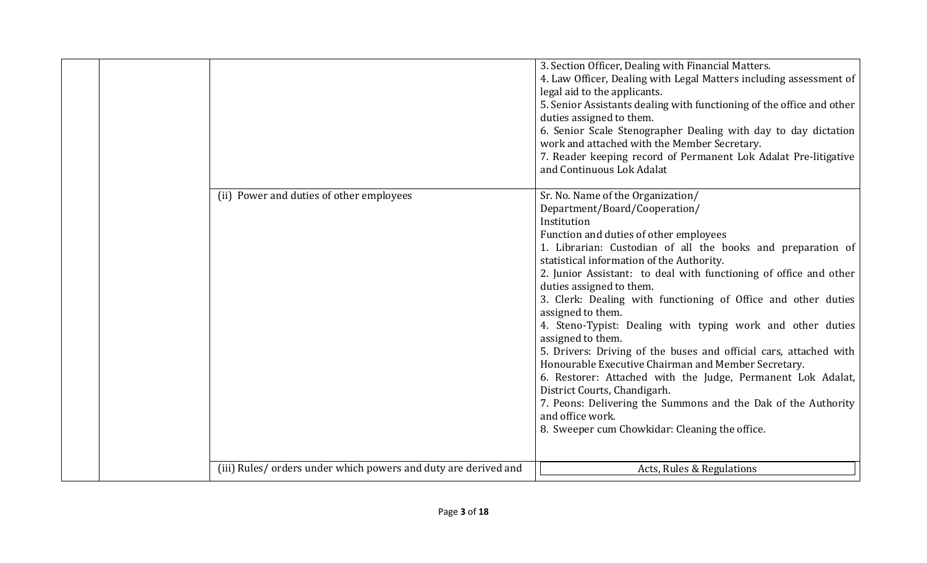|                                                                 | 3. Section Officer, Dealing with Financial Matters.<br>4. Law Officer, Dealing with Legal Matters including assessment of<br>legal aid to the applicants.<br>5. Senior Assistants dealing with functioning of the office and other<br>duties assigned to them.<br>6. Senior Scale Stenographer Dealing with day to day dictation<br>work and attached with the Member Secretary.<br>7. Reader keeping record of Permanent Lok Adalat Pre-litigative<br>and Continuous Lok Adalat                                                                                                                                                                                                                                                                                                                                                                                                    |
|-----------------------------------------------------------------|-------------------------------------------------------------------------------------------------------------------------------------------------------------------------------------------------------------------------------------------------------------------------------------------------------------------------------------------------------------------------------------------------------------------------------------------------------------------------------------------------------------------------------------------------------------------------------------------------------------------------------------------------------------------------------------------------------------------------------------------------------------------------------------------------------------------------------------------------------------------------------------|
| (ii) Power and duties of other employees                        | Sr. No. Name of the Organization/<br>Department/Board/Cooperation/<br>Institution<br>Function and duties of other employees<br>1. Librarian: Custodian of all the books and preparation of<br>statistical information of the Authority.<br>2. Junior Assistant: to deal with functioning of office and other<br>duties assigned to them.<br>3. Clerk: Dealing with functioning of Office and other duties<br>assigned to them.<br>4. Steno-Typist: Dealing with typing work and other duties<br>assigned to them.<br>5. Drivers: Driving of the buses and official cars, attached with<br>Honourable Executive Chairman and Member Secretary.<br>6. Restorer: Attached with the Judge, Permanent Lok Adalat,<br>District Courts, Chandigarh.<br>7. Peons: Delivering the Summons and the Dak of the Authority<br>and office work.<br>8. Sweeper cum Chowkidar: Cleaning the office. |
| (iii) Rules/ orders under which powers and duty are derived and | Acts, Rules & Regulations                                                                                                                                                                                                                                                                                                                                                                                                                                                                                                                                                                                                                                                                                                                                                                                                                                                           |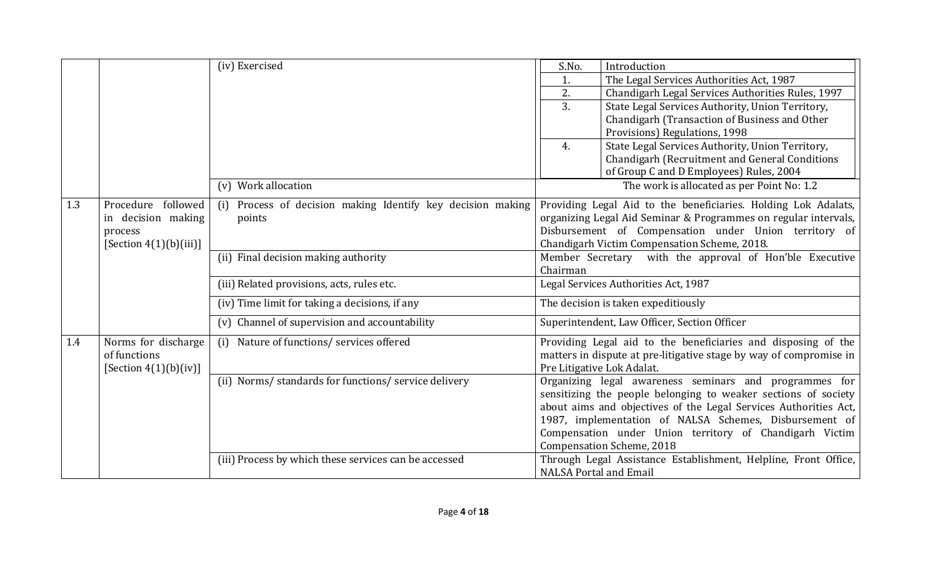|     |                           | (iv) Exercised                                                 | S.No.<br>Introduction                                              |
|-----|---------------------------|----------------------------------------------------------------|--------------------------------------------------------------------|
|     |                           |                                                                | The Legal Services Authorities Act, 1987<br>1.                     |
|     |                           |                                                                | 2.<br>Chandigarh Legal Services Authorities Rules, 1997            |
|     |                           |                                                                | 3.<br>State Legal Services Authority, Union Territory,             |
|     |                           |                                                                | Chandigarh (Transaction of Business and Other                      |
|     |                           |                                                                | Provisions) Regulations, 1998                                      |
|     |                           |                                                                | State Legal Services Authority, Union Territory,<br>4.             |
|     |                           |                                                                | Chandigarh (Recruitment and General Conditions                     |
|     |                           |                                                                | of Group C and D Employees) Rules, 2004                            |
|     |                           | (v) Work allocation                                            | The work is allocated as per Point No: 1.2                         |
| 1.3 | followed<br>Procedure     | Process of decision making Identify key decision making<br>(i) | Providing Legal Aid to the beneficiaries. Holding Lok Adalats,     |
|     | in decision making        | points                                                         | organizing Legal Aid Seminar & Programmes on regular intervals,    |
|     | process                   |                                                                | Disbursement of Compensation under Union territory of              |
|     | [Section $4(1)(b)(iii)$ ] |                                                                | Chandigarh Victim Compensation Scheme, 2018.                       |
|     |                           | (ii) Final decision making authority                           | Member Secretary with the approval of Hon'ble Executive            |
|     |                           |                                                                | Chairman                                                           |
|     |                           | (iii) Related provisions, acts, rules etc.                     | Legal Services Authorities Act, 1987                               |
|     |                           | (iv) Time limit for taking a decisions, if any                 | The decision is taken expeditiously                                |
|     |                           | (v) Channel of supervision and accountability                  | Superintendent, Law Officer, Section Officer                       |
| 1.4 | Norms for discharge       | Nature of functions/ services offered<br>(i)                   | Providing Legal aid to the beneficiaries and disposing of the      |
|     | of functions              |                                                                | matters in dispute at pre-litigative stage by way of compromise in |
|     | [Section $4(1)(b)(iv)$ ]  |                                                                | Pre Litigative Lok Adalat.                                         |
|     |                           | (ii) Norms/ standards for functions/ service delivery          | Organizing legal awareness seminars and programmes for             |
|     |                           |                                                                | sensitizing the people belonging to weaker sections of society     |
|     |                           |                                                                | about aims and objectives of the Legal Services Authorities Act,   |
|     |                           |                                                                | 1987, implementation of NALSA Schemes, Disbursement of             |
|     |                           |                                                                | Compensation under Union territory of Chandigarh Victim            |
|     |                           |                                                                | <b>Compensation Scheme, 2018</b>                                   |
|     |                           | (iii) Process by which these services can be accessed          | Through Legal Assistance Establishment, Helpline, Front Office,    |
|     |                           |                                                                | <b>NALSA Portal and Email</b>                                      |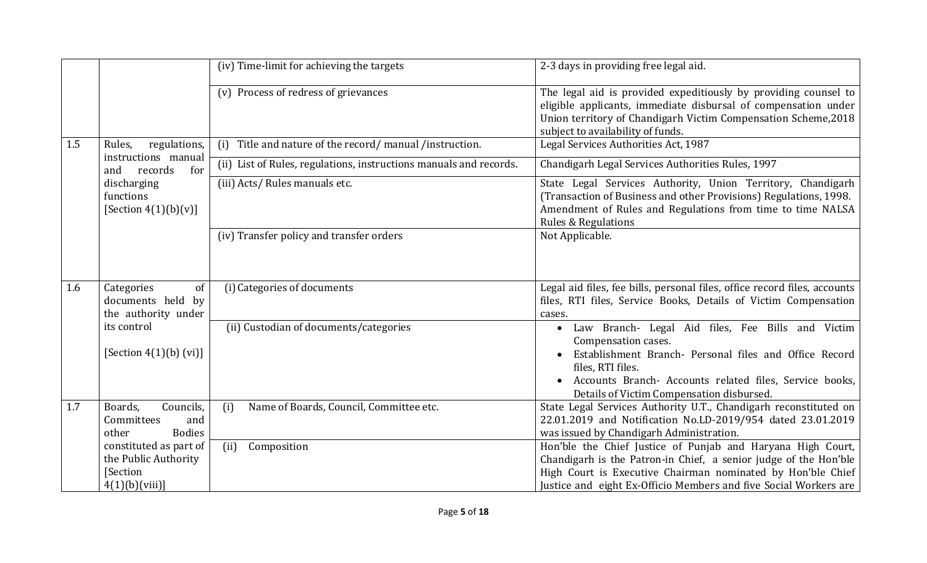|     |                                                                                    | (iv) Time-limit for achieving the targets                          | 2-3 days in providing free legal aid.                                                                                                                                                                                                                                        |
|-----|------------------------------------------------------------------------------------|--------------------------------------------------------------------|------------------------------------------------------------------------------------------------------------------------------------------------------------------------------------------------------------------------------------------------------------------------------|
|     |                                                                                    | (v) Process of redress of grievances                               | The legal aid is provided expeditiously by providing counsel to<br>eligible applicants, immediate disbursal of compensation under<br>Union territory of Chandigarh Victim Compensation Scheme, 2018<br>subject to availability of funds.                                     |
| 1.5 | Rules,<br>regulations,                                                             | (i) Title and nature of the record/manual/instruction.             | Legal Services Authorities Act, 1987                                                                                                                                                                                                                                         |
|     | instructions manual<br>records<br>for<br>and                                       | (ii) List of Rules, regulations, instructions manuals and records. | Chandigarh Legal Services Authorities Rules, 1997                                                                                                                                                                                                                            |
|     | discharging<br>functions<br>[Section $4(1)(b)(v)$ ]                                | (iii) Acts/ Rules manuals etc.                                     | State Legal Services Authority, Union Territory, Chandigarh<br>(Transaction of Business and other Provisions) Regulations, 1998.<br>Amendment of Rules and Regulations from time to time NALSA<br><b>Rules &amp; Regulations</b>                                             |
|     |                                                                                    | (iv) Transfer policy and transfer orders                           | Not Applicable.                                                                                                                                                                                                                                                              |
| 1.6 | Categories<br>of<br>documents held by<br>the authority under                       | (i) Categories of documents                                        | Legal aid files, fee bills, personal files, office record files, accounts<br>files, RTI files, Service Books, Details of Victim Compensation<br>cases.                                                                                                                       |
|     | its control<br>[Section $4(1)(b)$ (vi)]                                            | (ii) Custodian of documents/categories                             | Law Branch- Legal Aid files, Fee Bills and Victim<br>$\bullet$<br>Compensation cases.<br>Establishment Branch- Personal files and Office Record<br>files, RTI files.<br>Accounts Branch- Accounts related files, Service books,<br>Details of Victim Compensation disbursed. |
| 1.7 | Boards,<br>Councils,<br>Committees<br>and<br>other<br><b>Bodies</b>                | (i)<br>Name of Boards, Council, Committee etc.                     | State Legal Services Authority U.T., Chandigarh reconstituted on<br>22.01.2019 and Notification No.LD-2019/954 dated 23.01.2019<br>was issued by Chandigarh Administration.                                                                                                  |
|     | constituted as part of<br>the Public Authority<br><b>Section</b><br>4(1)(b)(viii)] | (ii)<br>Composition                                                | Hon'ble the Chief Justice of Punjab and Haryana High Court,<br>Chandigarh is the Patron-in Chief, a senior judge of the Hon'ble<br>High Court is Executive Chairman nominated by Hon'ble Chief<br>Justice and eight Ex-Officio Members and five Social Workers are           |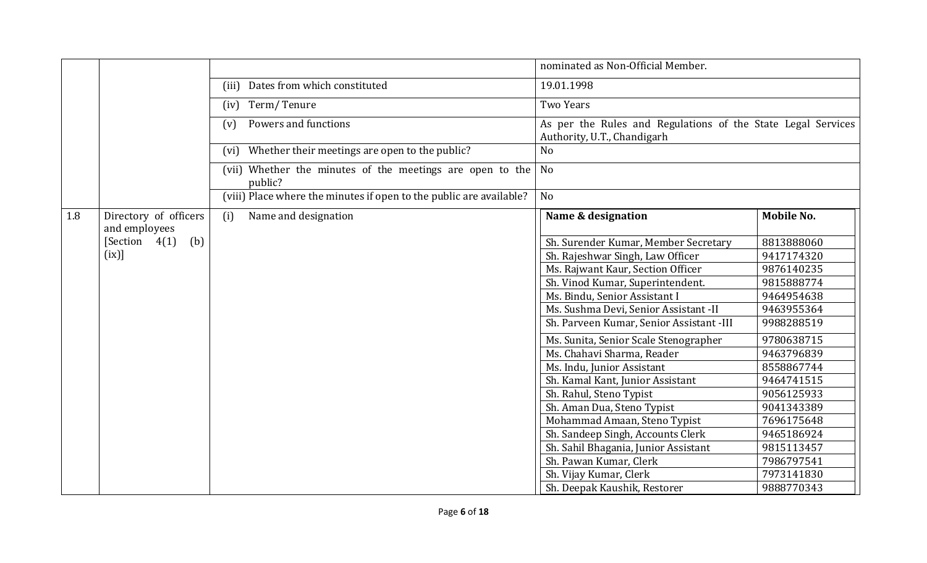|     |                                           |                                                                      | nominated as Non-Official Member.                                                           |                   |  |
|-----|-------------------------------------------|----------------------------------------------------------------------|---------------------------------------------------------------------------------------------|-------------------|--|
|     |                                           | Dates from which constituted<br>(iii)                                | 19.01.1998                                                                                  |                   |  |
|     |                                           | Term/Tenure<br>(iv)                                                  | <b>Two Years</b>                                                                            |                   |  |
|     |                                           | Powers and functions<br>(v)                                          | As per the Rules and Regulations of the State Legal Services<br>Authority, U.T., Chandigarh |                   |  |
|     |                                           | Whether their meetings are open to the public?<br>(vi)               | N <sub>o</sub>                                                                              |                   |  |
|     |                                           | (vii) Whether the minutes of the meetings are open to the<br>public? | N <sub>o</sub>                                                                              |                   |  |
|     |                                           | (viii) Place where the minutes if open to the public are available?  | No                                                                                          |                   |  |
| 1.8 | Directory of officers                     | Name and designation<br>(i)                                          | Name & designation                                                                          | <b>Mobile No.</b> |  |
|     | and employees<br>(b)<br>[Section $4(1)$ ] |                                                                      | Sh. Surender Kumar, Member Secretary                                                        | 8813888060        |  |
|     | (ix)]                                     |                                                                      | Sh. Rajeshwar Singh, Law Officer                                                            | 9417174320        |  |
|     |                                           |                                                                      | Ms. Rajwant Kaur, Section Officer                                                           | 9876140235        |  |
|     |                                           |                                                                      | Sh. Vinod Kumar, Superintendent.                                                            | 9815888774        |  |
|     |                                           |                                                                      | Ms. Bindu, Senior Assistant I                                                               | 9464954638        |  |
|     |                                           |                                                                      | Ms. Sushma Devi, Senior Assistant -II                                                       | 9463955364        |  |
|     |                                           |                                                                      | Sh. Parveen Kumar, Senior Assistant -III                                                    | 9988288519        |  |
|     |                                           |                                                                      | Ms. Sunita, Senior Scale Stenographer                                                       | 9780638715        |  |
|     |                                           |                                                                      | Ms. Chahavi Sharma, Reader                                                                  | 9463796839        |  |
|     |                                           |                                                                      | Ms. Indu, Junior Assistant                                                                  | 8558867744        |  |
|     |                                           |                                                                      | Sh. Kamal Kant, Junior Assistant                                                            | 9464741515        |  |
|     |                                           |                                                                      | Sh. Rahul, Steno Typist                                                                     | 9056125933        |  |
|     |                                           |                                                                      | Sh. Aman Dua, Steno Typist                                                                  | 9041343389        |  |
|     |                                           |                                                                      | Mohammad Amaan, Steno Typist                                                                | 7696175648        |  |
|     |                                           |                                                                      | Sh. Sandeep Singh, Accounts Clerk                                                           | 9465186924        |  |
|     |                                           |                                                                      | Sh. Sahil Bhagania, Junior Assistant                                                        | 9815113457        |  |
|     |                                           |                                                                      | Sh. Pawan Kumar, Clerk                                                                      | 7986797541        |  |
|     |                                           |                                                                      | Sh. Vijay Kumar, Clerk                                                                      | 7973141830        |  |
|     |                                           |                                                                      | Sh. Deepak Kaushik, Restorer                                                                | 9888770343        |  |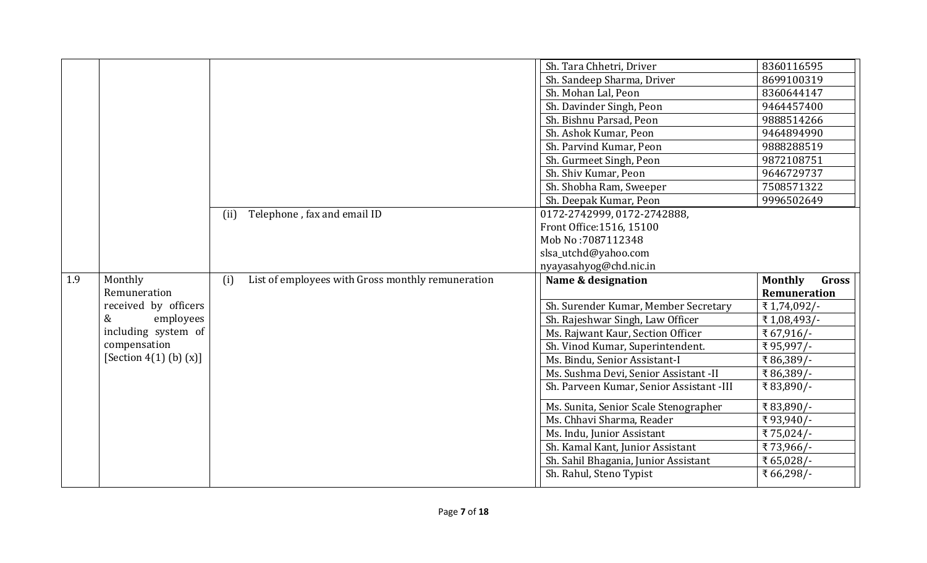|     |                             |      |                                                   | Sh. Tara Chhetri, Driver                 | 8360116595              |
|-----|-----------------------------|------|---------------------------------------------------|------------------------------------------|-------------------------|
|     |                             |      |                                                   | Sh. Sandeep Sharma, Driver               | 8699100319              |
|     |                             |      |                                                   | Sh. Mohan Lal, Peon                      | 8360644147              |
|     |                             |      |                                                   | Sh. Davinder Singh, Peon                 | 9464457400              |
|     |                             |      |                                                   | Sh. Bishnu Parsad, Peon                  | 9888514266              |
|     |                             |      |                                                   | Sh. Ashok Kumar, Peon                    | 9464894990              |
|     |                             |      |                                                   | Sh. Parvind Kumar, Peon                  | 9888288519              |
|     |                             |      |                                                   | Sh. Gurmeet Singh, Peon                  | 9872108751              |
|     |                             |      |                                                   | Sh. Shiv Kumar, Peon                     | 9646729737              |
|     |                             |      |                                                   | Sh. Shobha Ram, Sweeper                  | 7508571322              |
|     |                             |      |                                                   | Sh. Deepak Kumar, Peon                   | 9996502649              |
|     |                             | (ii) | Telephone, fax and email ID                       | 0172-2742999, 0172-2742888,              |                         |
|     |                             |      |                                                   | Front Office: 1516, 15100                |                         |
|     |                             |      |                                                   | Mob No: 7087112348                       |                         |
|     |                             |      |                                                   | slsa_utchd@yahoo.com                     |                         |
|     |                             |      |                                                   | nyayasahyog@chd.nic.in                   |                         |
|     |                             |      |                                                   |                                          |                         |
| 1.9 | Monthly                     | (i)  | List of employees with Gross monthly remuneration | Name & designation                       | <b>Monthly</b><br>Gross |
|     | Remuneration                |      |                                                   |                                          | Remuneration            |
|     | received by officers        |      |                                                   | Sh. Surender Kumar, Member Secretary     | ₹1,74,092/-             |
|     | &<br>employees              |      |                                                   | Sh. Rajeshwar Singh, Law Officer         | ₹1,08,493/-             |
|     | including system of         |      |                                                   | Ms. Rajwant Kaur, Section Officer        | ₹67,916/-               |
|     | compensation                |      |                                                   | Sh. Vinod Kumar, Superintendent.         | ₹95,997/-               |
|     | [Section $4(1)$ (b) $(x)$ ] |      |                                                   | Ms. Bindu, Senior Assistant-I            | ₹86,389/-               |
|     |                             |      |                                                   | Ms. Sushma Devi, Senior Assistant -II    | ₹86,389/-               |
|     |                             |      |                                                   | Sh. Parveen Kumar, Senior Assistant -III | ₹83,890/-               |
|     |                             |      |                                                   | Ms. Sunita, Senior Scale Stenographer    |                         |
|     |                             |      |                                                   | Ms. Chhavi Sharma, Reader                | ₹83,890/-<br>₹93,940/-  |
|     |                             |      |                                                   | Ms. Indu, Junior Assistant               | ₹75,024/-               |
|     |                             |      |                                                   | Sh. Kamal Kant, Junior Assistant         | ₹73,966/-               |
|     |                             |      |                                                   | Sh. Sahil Bhagania, Junior Assistant     | ₹65,028/-               |
|     |                             |      |                                                   | Sh. Rahul, Steno Typist                  | ₹ 66,298/-              |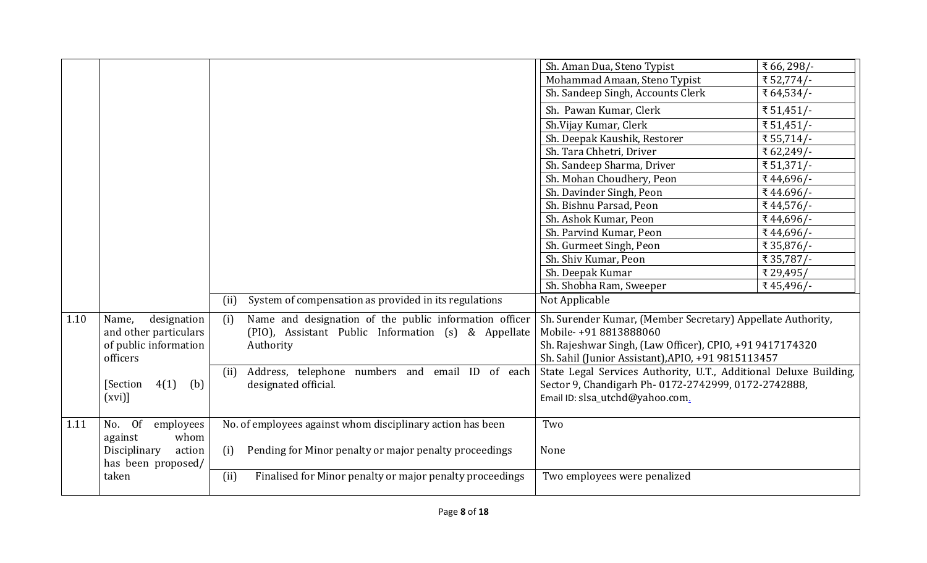|      |                                                            |                                                                  | Sh. Aman Dua, Steno Typist                                        | ₹ 66, 298/- |
|------|------------------------------------------------------------|------------------------------------------------------------------|-------------------------------------------------------------------|-------------|
|      |                                                            |                                                                  | Mohammad Amaan, Steno Typist                                      | ₹52,774/-   |
|      |                                                            |                                                                  | Sh. Sandeep Singh, Accounts Clerk                                 | ₹ 64,534/-  |
|      |                                                            |                                                                  | Sh. Pawan Kumar, Clerk                                            | ₹ 51,451/-  |
|      |                                                            |                                                                  | Sh.Vijay Kumar, Clerk                                             | ₹ 51,451/-  |
|      |                                                            |                                                                  | Sh. Deepak Kaushik, Restorer                                      | ₹55,714/-   |
|      |                                                            |                                                                  | Sh. Tara Chhetri, Driver                                          | ₹ 62,249/-  |
|      |                                                            |                                                                  | Sh. Sandeep Sharma, Driver                                        | ₹ 51,371/-  |
|      |                                                            |                                                                  | Sh. Mohan Choudhery, Peon                                         | ₹44,696/-   |
|      |                                                            |                                                                  | Sh. Davinder Singh, Peon                                          | ₹44.696/-   |
|      |                                                            |                                                                  | Sh. Bishnu Parsad, Peon                                           | ₹44,576/-   |
|      |                                                            |                                                                  | Sh. Ashok Kumar, Peon                                             | ₹44,696/-   |
|      |                                                            |                                                                  | Sh. Parvind Kumar, Peon                                           | ₹44,696/-   |
|      |                                                            |                                                                  | Sh. Gurmeet Singh, Peon                                           | ₹ 35,876/-  |
|      |                                                            |                                                                  | Sh. Shiv Kumar, Peon                                              | ₹ 35,787/-  |
|      |                                                            |                                                                  | Sh. Deepak Kumar                                                  | ₹ 29,495/   |
|      |                                                            |                                                                  | Sh. Shobha Ram, Sweeper                                           | ₹45,496/-   |
|      |                                                            | System of compensation as provided in its regulations<br>(ii)    | Not Applicable                                                    |             |
| 1.10 | designation<br>Name,                                       | Name and designation of the public information officer<br>(i)    | Sh. Surender Kumar, (Member Secretary) Appellate Authority,       |             |
|      | and other particulars<br>of public information<br>officers | (PIO), Assistant Public Information (s) & Appellate              | Mobile-+91 8813888060                                             |             |
|      |                                                            | Authority                                                        | Sh. Rajeshwar Singh, (Law Officer), CPIO, +91 9417174320          |             |
|      |                                                            |                                                                  | Sh. Sahil (Junior Assistant), APIO, +91 9815113457                |             |
|      |                                                            | Address, telephone numbers and email ID of each<br>(ii)          | State Legal Services Authority, U.T., Additional Deluxe Building, |             |
|      | 4(1)<br>[Section]<br>(b)                                   | designated official.                                             | Sector 9, Chandigarh Ph-0172-2742999, 0172-2742888,               |             |
|      | (xvi)                                                      |                                                                  | Email ID: slsa_utchd@yahoo.com.                                   |             |
| 1.11 | No. Of<br>employees                                        | No. of employees against whom disciplinary action has been       | Two                                                               |             |
|      | whom<br>against                                            |                                                                  |                                                                   |             |
|      | Disciplinary<br>action                                     | Pending for Minor penalty or major penalty proceedings<br>(i)    | None                                                              |             |
|      | has been proposed/                                         |                                                                  |                                                                   |             |
|      | taken                                                      | (ii)<br>Finalised for Minor penalty or major penalty proceedings | Two employees were penalized                                      |             |
|      |                                                            |                                                                  |                                                                   |             |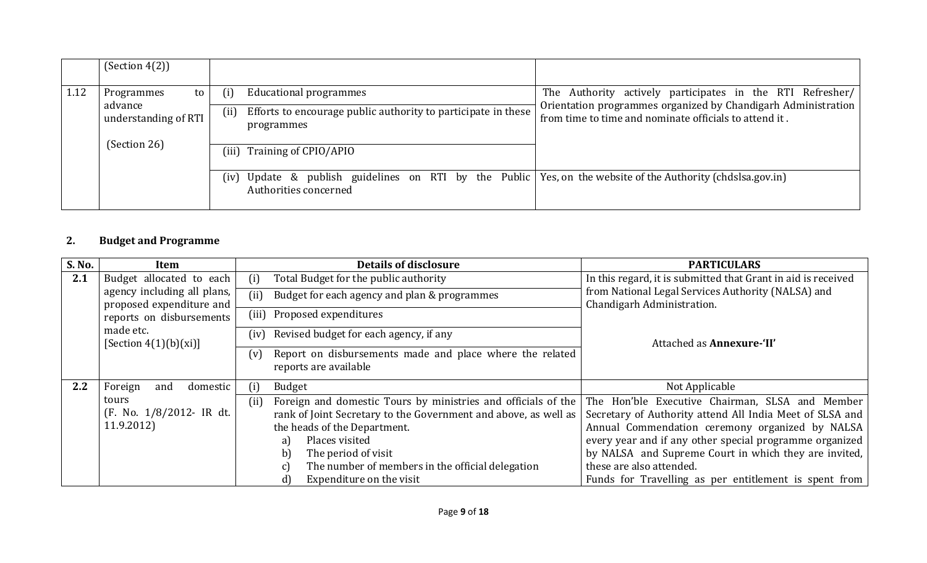|      | (Section 4(2))                  |                                                                                                                                                                                                                |
|------|---------------------------------|----------------------------------------------------------------------------------------------------------------------------------------------------------------------------------------------------------------|
| 1.12 | Programmes<br>to                | The Authority actively participates in the RTI Refresher/<br><b>Educational programmes</b><br>(i)                                                                                                              |
|      | advance<br>understanding of RTI | Orientation programmes organized by Chandigarh Administration<br>Efforts to encourage public authority to participate in these<br>(ii)<br>from time to time and nominate officials to attend it.<br>programmes |
|      | (Section 26)                    | Training of CPIO/APIO<br>(iii)                                                                                                                                                                                 |
|      |                                 | Update & publish guidelines on RTI by the Public Yes, on the website of the Authority (chds salgov. in)<br>(iv)<br>Authorities concerned                                                                       |

# 2. Budget and Programme

| S. No. | Item                                                    |       | <b>Details of disclosure</b>                                                      | <b>PARTICULARS</b>                                                               |
|--------|---------------------------------------------------------|-------|-----------------------------------------------------------------------------------|----------------------------------------------------------------------------------|
| 2.1    | Budget allocated to each                                | (i)   | Total Budget for the public authority                                             | In this regard, it is submitted that Grant in aid is received                    |
|        | agency including all plans,<br>proposed expenditure and | (ii)  | Budget for each agency and plan & programmes                                      | from National Legal Services Authority (NALSA) and<br>Chandigarh Administration. |
|        | reports on disbursements                                | (iii) | Proposed expenditures                                                             |                                                                                  |
|        | made etc.<br>[Section $4(1)(b)(xi)$ ]                   | (iv)  | Revised budget for each agency, if any                                            | Attached as <b>Annexure-'II'</b>                                                 |
|        |                                                         | (v)   | Report on disbursements made and place where the related<br>reports are available |                                                                                  |
| 2.2    | Foreign<br>domestic<br>and                              | (i)   | <b>Budget</b>                                                                     | Not Applicable                                                                   |
|        | tours                                                   | (ii)  | Foreign and domestic Tours by ministries and officials of the                     | The Hon'ble Executive Chairman, SLSA and Member                                  |
|        | (F. No. 1/8/2012- IR dt.                                |       | rank of Joint Secretary to the Government and above, as well as                   | Secretary of Authority attend All India Meet of SLSA and                         |
|        | 11.9.2012)                                              |       | the heads of the Department.                                                      | Annual Commendation ceremony organized by NALSA                                  |
|        |                                                         |       | Places visited<br>a)                                                              | every year and if any other special programme organized                          |
|        |                                                         |       | The period of visit<br>b)                                                         | by NALSA and Supreme Court in which they are invited,                            |
|        |                                                         |       | The number of members in the official delegation<br> C                            | these are also attended.                                                         |
|        |                                                         |       | Expenditure on the visit<br>d)                                                    | Funds for Travelling as per entitlement is spent from                            |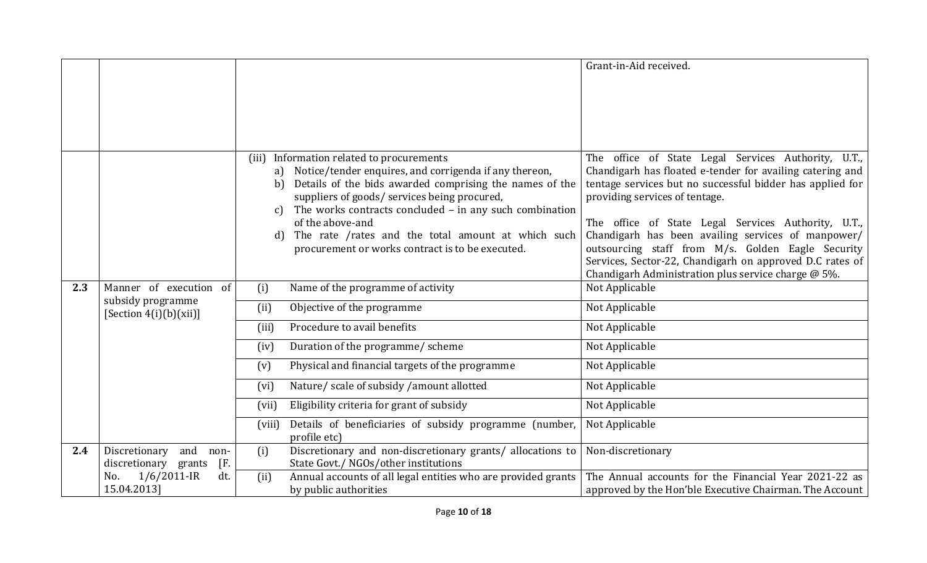|     |                                                                          |                   |                                                                                                                                                                                                                                                                                            | Grant-in-Aid received.                                                                                                                                                                                                                                                 |
|-----|--------------------------------------------------------------------------|-------------------|--------------------------------------------------------------------------------------------------------------------------------------------------------------------------------------------------------------------------------------------------------------------------------------------|------------------------------------------------------------------------------------------------------------------------------------------------------------------------------------------------------------------------------------------------------------------------|
|     |                                                                          |                   |                                                                                                                                                                                                                                                                                            |                                                                                                                                                                                                                                                                        |
|     |                                                                          |                   |                                                                                                                                                                                                                                                                                            |                                                                                                                                                                                                                                                                        |
|     |                                                                          |                   |                                                                                                                                                                                                                                                                                            |                                                                                                                                                                                                                                                                        |
|     |                                                                          |                   |                                                                                                                                                                                                                                                                                            |                                                                                                                                                                                                                                                                        |
|     |                                                                          | (iii)<br>b)<br>C) | Information related to procurements<br>a) Notice/tender enquires, and corrigenda if any thereon,<br>Details of the bids awarded comprising the names of the<br>suppliers of goods/ services being procured,<br>The works contracts concluded - in any such combination<br>of the above-and | The office of State Legal Services Authority, U.T.,<br>Chandigarh has floated e-tender for availing catering and<br>tentage services but no successful bidder has applied for<br>providing services of tentage.<br>The office of State Legal Services Authority, U.T., |
|     |                                                                          | d)                | The rate /rates and the total amount at which such<br>procurement or works contract is to be executed.                                                                                                                                                                                     | Chandigarh has been availing services of manpower/<br>outsourcing staff from M/s. Golden Eagle Security<br>Services, Sector-22, Chandigarh on approved D.C rates of<br>Chandigarh Administration plus service charge @ 5%.                                             |
| 2.3 | Manner of execution of                                                   | (i)               | Name of the programme of activity                                                                                                                                                                                                                                                          | Not Applicable                                                                                                                                                                                                                                                         |
|     | subsidy programme<br>[Section $4(i)$ (b)(xii)]                           | (ii)              | Objective of the programme                                                                                                                                                                                                                                                                 | Not Applicable                                                                                                                                                                                                                                                         |
|     |                                                                          | (iii)             | Procedure to avail benefits                                                                                                                                                                                                                                                                | Not Applicable                                                                                                                                                                                                                                                         |
|     |                                                                          | (iv)              | Duration of the programme/ scheme                                                                                                                                                                                                                                                          | Not Applicable                                                                                                                                                                                                                                                         |
|     |                                                                          | (v)               | Physical and financial targets of the programme                                                                                                                                                                                                                                            | Not Applicable                                                                                                                                                                                                                                                         |
|     |                                                                          | (vi)              | Nature/ scale of subsidy /amount allotted                                                                                                                                                                                                                                                  | Not Applicable                                                                                                                                                                                                                                                         |
|     |                                                                          | (vii)             | Eligibility criteria for grant of subsidy                                                                                                                                                                                                                                                  | Not Applicable                                                                                                                                                                                                                                                         |
|     |                                                                          | (viii)            | Details of beneficiaries of subsidy programme (number,<br>profile etc)                                                                                                                                                                                                                     | Not Applicable                                                                                                                                                                                                                                                         |
| 2.4 | and<br>Discretionary<br>non-                                             | (i)               | Discretionary and non-discretionary grants/ allocations to                                                                                                                                                                                                                                 | Non-discretionary                                                                                                                                                                                                                                                      |
|     | discretionary grants<br>$\overline{F}$ .<br>$1/6/2011$ -IR<br>dt.<br>No. | (ii)              | State Govt./ NGOs/other institutions<br>Annual accounts of all legal entities who are provided grants                                                                                                                                                                                      | The Annual accounts for the Financial Year 2021-22 as                                                                                                                                                                                                                  |
|     | 15.04.2013]                                                              |                   | by public authorities                                                                                                                                                                                                                                                                      | approved by the Hon'ble Executive Chairman. The Account                                                                                                                                                                                                                |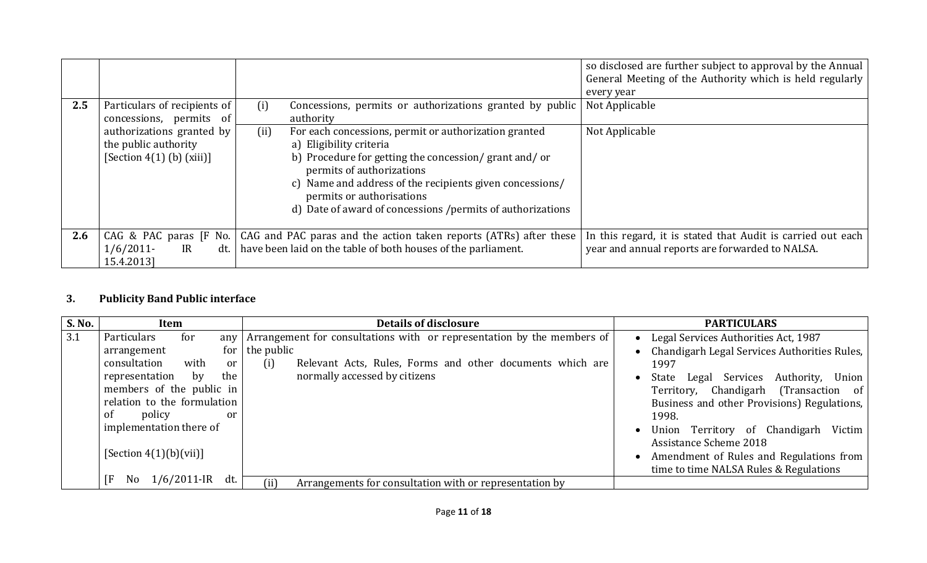| 2.5 | Particulars of recipients of                                                     | Concessions, permits or authorizations granted by public<br>(i)                                                                                                                                                                                                                                                                       | so disclosed are further subject to approval by the Annual<br>General Meeting of the Authority which is held regularly<br>every year<br>Not Applicable |
|-----|----------------------------------------------------------------------------------|---------------------------------------------------------------------------------------------------------------------------------------------------------------------------------------------------------------------------------------------------------------------------------------------------------------------------------------|--------------------------------------------------------------------------------------------------------------------------------------------------------|
|     | concessions, permits of                                                          | authority                                                                                                                                                                                                                                                                                                                             |                                                                                                                                                        |
|     | authorizations granted by<br>the public authority<br>[Section $4(1)$ (b) (xiii)] | For each concessions, permit or authorization granted<br>(ii)<br>a) Eligibility criteria<br>b) Procedure for getting the concession/grant and/or<br>permits of authorizations<br>c) Name and address of the recipients given concessions/<br>permits or authorisations<br>d) Date of award of concessions / permits of authorizations | Not Applicable                                                                                                                                         |
| 2.6 | CAG & PAC paras [F No.                                                           | CAG and PAC paras and the action taken reports (ATRs) after these                                                                                                                                                                                                                                                                     | In this regard, it is stated that Audit is carried out each                                                                                            |
|     | $1/6/2011$ -<br>IR<br>dt.<br>15.4.2013]                                          | have been laid on the table of both houses of the parliament.                                                                                                                                                                                                                                                                         | year and annual reports are forwarded to NALSA.                                                                                                        |

# 3. Publicity Band Public interface

| S. No. | Item                                                                                                                                                                                                                                                             | <b>Details of disclosure</b>                                                                                                                                                       | <b>PARTICULARS</b>                                                                                                                                                                                                                                                                                                                                                                                                                               |
|--------|------------------------------------------------------------------------------------------------------------------------------------------------------------------------------------------------------------------------------------------------------------------|------------------------------------------------------------------------------------------------------------------------------------------------------------------------------------|--------------------------------------------------------------------------------------------------------------------------------------------------------------------------------------------------------------------------------------------------------------------------------------------------------------------------------------------------------------------------------------------------------------------------------------------------|
| 3.1    | Particulars<br>for<br>any<br>for<br>arrangement<br>with<br>consultation<br><sub>or</sub><br>the<br>representation<br>bv<br>members of the public in<br>relation to the formulation<br>of<br>policy<br>or<br>implementation there of<br>[Section $4(1)(b)(vii)$ ] | Arrangement for consultations with or representation by the members of<br>the public<br>Relevant Acts, Rules, Forms and other documents which are<br>normally accessed by citizens | Legal Services Authorities Act, 1987<br>$\bullet$<br>Chandigarh Legal Services Authorities Rules,<br>1997<br>Union<br>Legal Services<br>Authority,<br>State<br>Territory, Chandigarh (Transaction of<br>Business and other Provisions) Regulations,<br>1998.<br>Victim<br>Union Territory of Chandigarh<br>$\bullet$<br>Assistance Scheme 2018<br>Amendment of Rules and Regulations from<br>$\bullet$<br>time to time NALSA Rules & Regulations |
|        | $1/6/2011$ -IR dt.<br>ſF<br>No.                                                                                                                                                                                                                                  | (ii)<br>Arrangements for consultation with or representation by                                                                                                                    |                                                                                                                                                                                                                                                                                                                                                                                                                                                  |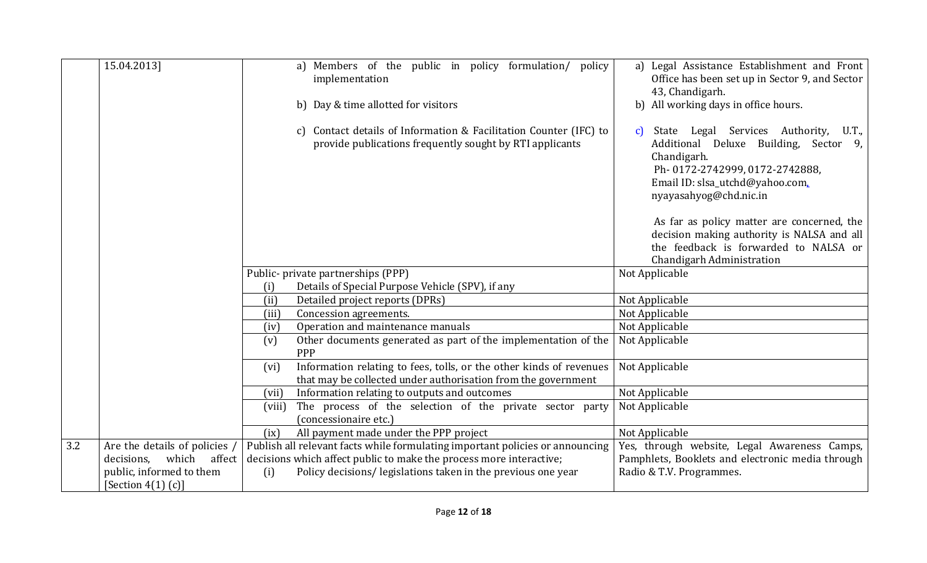|     | 15.04.2013]                   | a) Members of the public in policy formulation/ policy<br>implementation                                                                     | a) Legal Assistance Establishment and Front<br>Office has been set up in Sector 9, and Sector<br>43, Chandigarh.                                                                                      |
|-----|-------------------------------|----------------------------------------------------------------------------------------------------------------------------------------------|-------------------------------------------------------------------------------------------------------------------------------------------------------------------------------------------------------|
|     |                               | b) Day & time allotted for visitors                                                                                                          | b) All working days in office hours.                                                                                                                                                                  |
|     |                               | c) Contact details of Information & Facilitation Counter (IFC) to<br>provide publications frequently sought by RTI applicants                | State Legal Services Authority,<br>U.T.,<br>c)<br>Additional Deluxe Building, Sector 9,<br>Chandigarh.<br>Ph-0172-2742999, 0172-2742888,<br>Email ID: slsa_utchd@yahoo.com,<br>nyayasahyog@chd.nic.in |
|     |                               |                                                                                                                                              | As far as policy matter are concerned, the<br>decision making authority is NALSA and all<br>the feedback is forwarded to NALSA or                                                                     |
|     |                               |                                                                                                                                              | Chandigarh Administration                                                                                                                                                                             |
|     |                               | Public- private partnerships (PPP)                                                                                                           | Not Applicable                                                                                                                                                                                        |
|     |                               | Details of Special Purpose Vehicle (SPV), if any<br>(i)                                                                                      |                                                                                                                                                                                                       |
|     |                               | (ii)<br>Detailed project reports (DPRs)                                                                                                      | Not Applicable                                                                                                                                                                                        |
|     |                               | Concession agreements.<br>(iii)                                                                                                              | Not Applicable                                                                                                                                                                                        |
|     |                               | Operation and maintenance manuals<br>(iv)                                                                                                    | Not Applicable                                                                                                                                                                                        |
|     |                               | Other documents generated as part of the implementation of the<br>(v)<br><b>PPP</b>                                                          | Not Applicable                                                                                                                                                                                        |
|     |                               | Information relating to fees, tolls, or the other kinds of revenues<br>(vi)<br>that may be collected under authorisation from the government | Not Applicable                                                                                                                                                                                        |
|     |                               | Information relating to outputs and outcomes<br>(vii)                                                                                        | Not Applicable                                                                                                                                                                                        |
|     |                               | The process of the selection of the private sector party<br>(viii)<br>(concessionaire etc.)                                                  | Not Applicable                                                                                                                                                                                        |
|     |                               | All payment made under the PPP project<br>(ix)                                                                                               | Not Applicable                                                                                                                                                                                        |
| 3.2 | Are the details of policies   | Publish all relevant facts while formulating important policies or announcing                                                                | Yes, through website, Legal Awareness Camps,                                                                                                                                                          |
|     | which<br>decisions.<br>affect | decisions which affect public to make the process more interactive;                                                                          | Pamphlets, Booklets and electronic media through                                                                                                                                                      |
|     | public, informed to them      | Policy decisions/ legislations taken in the previous one year<br>(i)                                                                         | Radio & T.V. Programmes.                                                                                                                                                                              |
|     | [Section $4(1)$ (c)]          |                                                                                                                                              |                                                                                                                                                                                                       |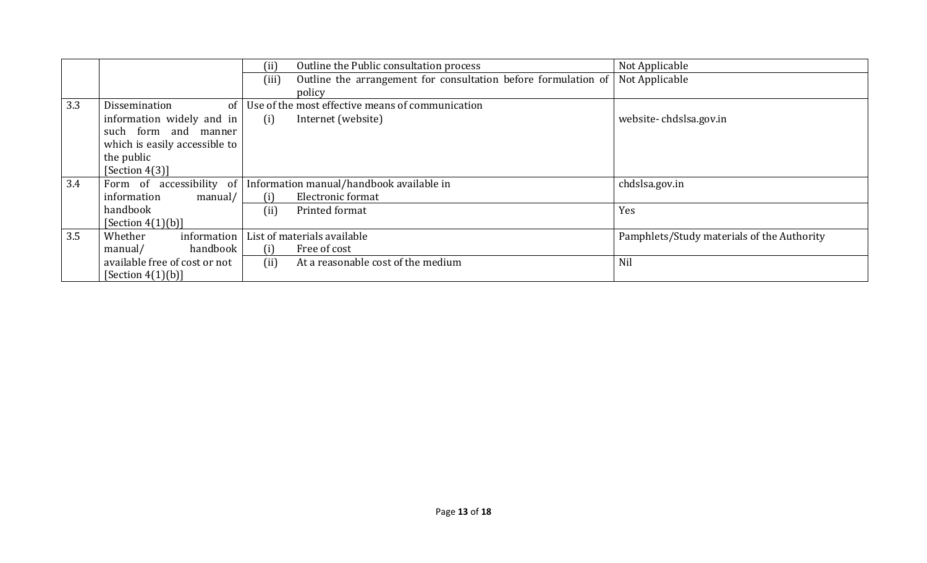|     |                               | (ii)  | Outline the Public consultation process                           | Not Applicable                             |
|-----|-------------------------------|-------|-------------------------------------------------------------------|--------------------------------------------|
|     |                               | (iii) | Outline the arrangement for consultation before formulation of    | Not Applicable                             |
|     |                               |       | policy                                                            |                                            |
| 3.3 | Dissemination<br>of           |       | Use of the most effective means of communication                  |                                            |
|     | information widely and in     | (i)   | Internet (website)                                                | website-chdslsa.gov.in                     |
|     | such form and manner          |       |                                                                   |                                            |
|     | which is easily accessible to |       |                                                                   |                                            |
|     | the public                    |       |                                                                   |                                            |
|     | [Section $4(3)$ ]             |       |                                                                   |                                            |
| 3.4 |                               |       | Form of accessibility of Information manual/handbook available in | chdslsa.gov.in                             |
|     | information<br>manual/        | (i)   | Electronic format                                                 |                                            |
|     | handbook                      | (ii)  | Printed format                                                    | Yes                                        |
|     | [Section $4(1)(b)$ ]          |       |                                                                   |                                            |
| 3.5 | Whether<br>information        |       | List of materials available                                       | Pamphlets/Study materials of the Authority |
|     | handbook<br>manual/           | (i)   | Free of cost                                                      |                                            |
|     | available free of cost or not | (ii)  | At a reasonable cost of the medium                                | Nil                                        |
|     | [Section $4(1)(b)$ ]          |       |                                                                   |                                            |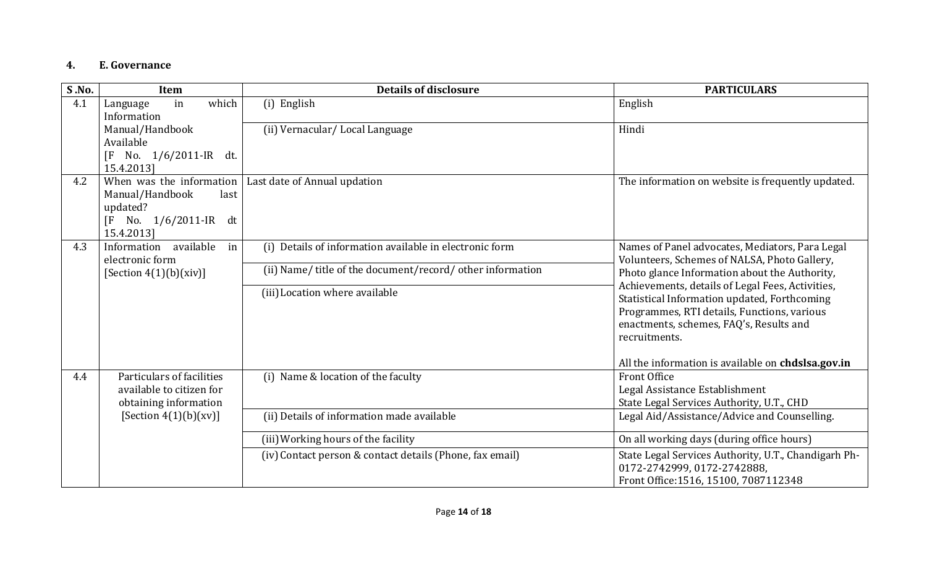#### 4. E. Governance

| S.No. | Item                                                                                                                  | <b>Details of disclosure</b>                               | <b>PARTICULARS</b>                                                                                                                                                                                          |
|-------|-----------------------------------------------------------------------------------------------------------------------|------------------------------------------------------------|-------------------------------------------------------------------------------------------------------------------------------------------------------------------------------------------------------------|
| 4.1   | which<br>in<br>Language<br>Information                                                                                | (i) English                                                | English                                                                                                                                                                                                     |
|       | Manual/Handbook<br>Available<br>No. 1/6/2011-IR dt.<br>$\overline{F}$<br>15.4.2013]                                   | (ii) Vernacular/Local Language                             | Hindi                                                                                                                                                                                                       |
| 4.2   | When was the information<br>Manual/Handbook<br>last<br>updated?<br>No. 1/6/2011-IR dt<br>$\overline{F}$<br>15.4.2013] | Last date of Annual updation                               | The information on website is frequently updated.                                                                                                                                                           |
| 4.3   | available<br>Information<br>in<br>electronic form                                                                     | Details of information available in electronic form<br>(i) | Names of Panel advocates, Mediators, Para Legal<br>Volunteers, Schemes of NALSA, Photo Gallery,                                                                                                             |
|       | [Section $4(1)(b)(xiv)$ ]                                                                                             | (ii) Name/ title of the document/record/ other information | Photo glance Information about the Authority,                                                                                                                                                               |
|       |                                                                                                                       | (iii) Location where available                             | Achievements, details of Legal Fees, Activities,<br>Statistical Information updated, Forthcoming<br>Programmes, RTI details, Functions, various<br>enactments, schemes, FAQ's, Results and<br>recruitments. |
|       |                                                                                                                       |                                                            | All the information is available on chdslsa.gov.in                                                                                                                                                          |
| 4.4   | Particulars of facilities<br>available to citizen for<br>obtaining information                                        | (i) Name & location of the faculty                         | <b>Front Office</b><br>Legal Assistance Establishment<br>State Legal Services Authority, U.T., CHD                                                                                                          |
|       | [Section $4(1)(b)(xv)$ ]                                                                                              | (ii) Details of information made available                 | Legal Aid/Assistance/Advice and Counselling.                                                                                                                                                                |
|       |                                                                                                                       | (iii) Working hours of the facility                        | On all working days (during office hours)                                                                                                                                                                   |
|       |                                                                                                                       | (iv) Contact person & contact details (Phone, fax email)   | State Legal Services Authority, U.T., Chandigarh Ph-<br>0172-2742999, 0172-2742888,<br>Front Office: 1516, 15100, 7087112348                                                                                |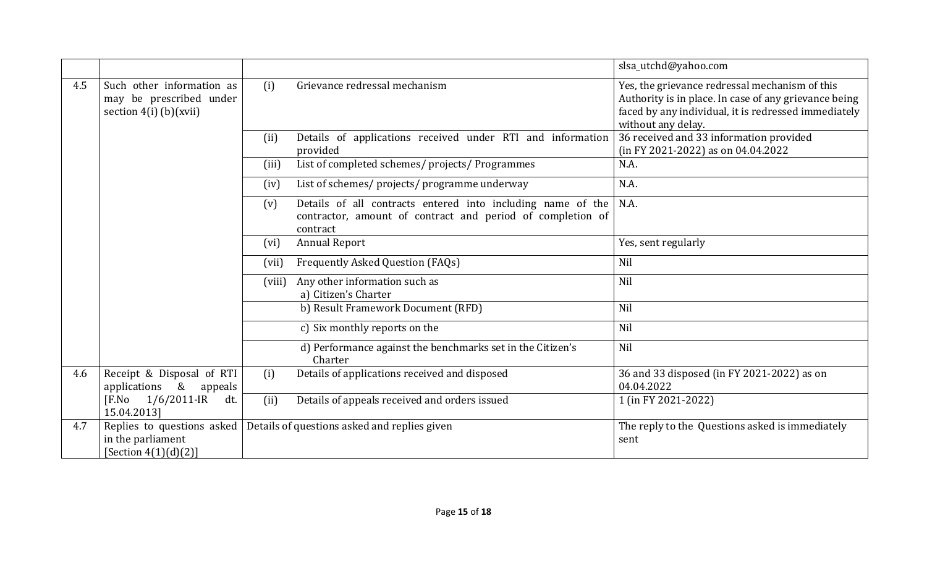|     |                                                                                  |        |                                                                                                                                       | slsa_utchd@yahoo.com                                                                                                                                                                  |
|-----|----------------------------------------------------------------------------------|--------|---------------------------------------------------------------------------------------------------------------------------------------|---------------------------------------------------------------------------------------------------------------------------------------------------------------------------------------|
| 4.5 | Such other information as<br>may be prescribed under<br>section $4(i)$ (b)(xvii) | (i)    | Grievance redressal mechanism                                                                                                         | Yes, the grievance redressal mechanism of this<br>Authority is in place. In case of any grievance being<br>faced by any individual, it is redressed immediately<br>without any delay. |
|     |                                                                                  | (ii)   | Details of applications received under RTI and information<br>provided                                                                | 36 received and 33 information provided<br>(in FY 2021-2022) as on 04.04.2022                                                                                                         |
|     |                                                                                  | (iii)  | List of completed schemes/ projects/ Programmes                                                                                       | N.A.                                                                                                                                                                                  |
|     |                                                                                  | (iv)   | List of schemes/ projects/ programme underway                                                                                         | N.A.                                                                                                                                                                                  |
|     |                                                                                  | (v)    | Details of all contracts entered into including name of the<br>contractor, amount of contract and period of completion of<br>contract | N.A.                                                                                                                                                                                  |
|     |                                                                                  | (vi)   | <b>Annual Report</b>                                                                                                                  | Yes, sent regularly                                                                                                                                                                   |
|     |                                                                                  | (vii)  | Frequently Asked Question (FAQs)                                                                                                      | Nil                                                                                                                                                                                   |
|     |                                                                                  | (viii) | Any other information such as<br>a) Citizen's Charter                                                                                 | Nil                                                                                                                                                                                   |
|     |                                                                                  |        | b) Result Framework Document (RFD)                                                                                                    | Nil                                                                                                                                                                                   |
|     |                                                                                  |        | c) Six monthly reports on the                                                                                                         | Nil                                                                                                                                                                                   |
|     |                                                                                  |        | d) Performance against the benchmarks set in the Citizen's<br>Charter                                                                 | Nil                                                                                                                                                                                   |
| 4.6 | Receipt & Disposal of RTI<br>applications & appeals                              | (i)    | Details of applications received and disposed                                                                                         | 36 and 33 disposed (in FY 2021-2022) as on<br>04.04.2022                                                                                                                              |
|     | $[F.No \t1/6/2011-IR]$<br>dt.<br>15.04.2013]                                     | (ii)   | Details of appeals received and orders issued                                                                                         | 1 (in FY 2021-2022)                                                                                                                                                                   |
| 4.7 | Replies to questions asked<br>in the parliament<br>[Section $4(1)(d)(2)]$        |        | Details of questions asked and replies given                                                                                          | The reply to the Questions asked is immediately<br>sent                                                                                                                               |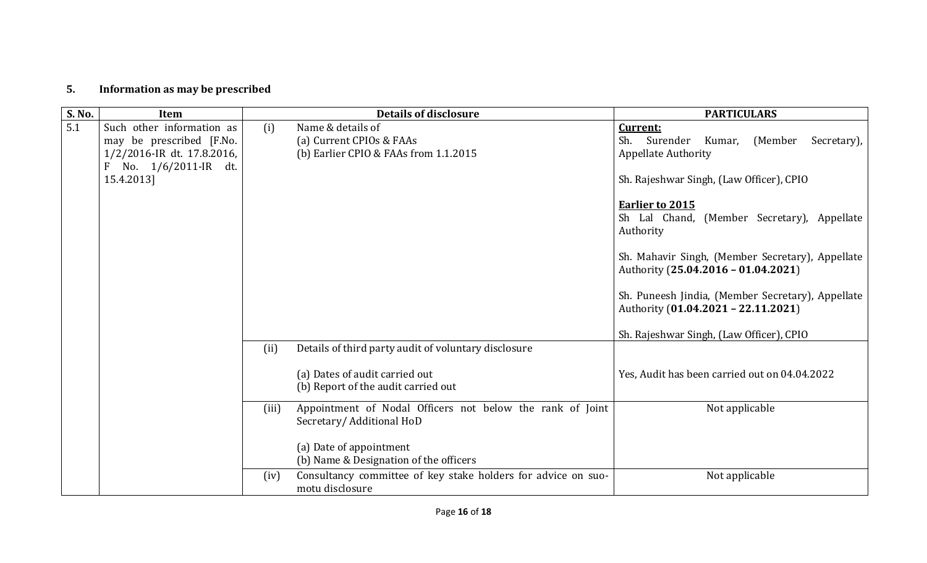# 5. Information as may be prescribed

| <b>S. No.</b> | <b>Item</b>                                                                                                                |       | <b>Details of disclosure</b>                                                           | <b>PARTICULARS</b>                                                                       |
|---------------|----------------------------------------------------------------------------------------------------------------------------|-------|----------------------------------------------------------------------------------------|------------------------------------------------------------------------------------------|
| 5.1           | Such other information as<br>may be prescribed [F.No.<br>1/2/2016-IR dt. 17.8.2016,<br>No. 1/6/2011-IR dt.<br>$\mathbf{F}$ | (i)   | Name & details of<br>(a) Current CPIOs & FAAs<br>(b) Earlier CPIO & FAAs from 1.1.2015 | Current:<br>Sh. Surender<br>Kumar, (Member<br>Secretary),<br><b>Appellate Authority</b>  |
|               | 15.4.2013]                                                                                                                 |       |                                                                                        | Sh. Rajeshwar Singh, (Law Officer), CPIO                                                 |
|               |                                                                                                                            |       |                                                                                        | <b>Earlier to 2015</b><br>Sh Lal Chand, (Member Secretary), Appellate<br>Authority       |
|               |                                                                                                                            |       |                                                                                        | Sh. Mahavir Singh, (Member Secretary), Appellate<br>Authority (25.04.2016 - 01.04.2021)  |
|               |                                                                                                                            |       |                                                                                        | Sh. Puneesh Jindia, (Member Secretary), Appellate<br>Authority (01.04.2021 - 22.11.2021) |
|               |                                                                                                                            |       |                                                                                        | Sh. Rajeshwar Singh, (Law Officer), CPIO                                                 |
|               |                                                                                                                            | (ii)  | Details of third party audit of voluntary disclosure                                   |                                                                                          |
|               |                                                                                                                            |       | (a) Dates of audit carried out<br>(b) Report of the audit carried out                  | Yes, Audit has been carried out on 04.04.2022                                            |
|               |                                                                                                                            | (iii) | Appointment of Nodal Officers not below the rank of Joint<br>Secretary/Additional HoD  | Not applicable                                                                           |
|               |                                                                                                                            |       | (a) Date of appointment<br>(b) Name & Designation of the officers                      |                                                                                          |
|               |                                                                                                                            | (iv)  | Consultancy committee of key stake holders for advice on suo-<br>motu disclosure       | Not applicable                                                                           |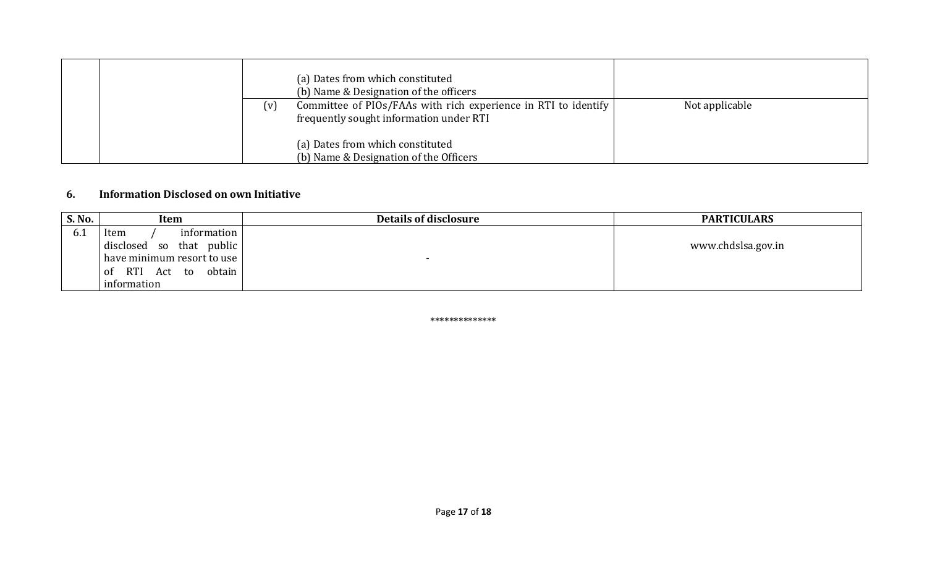|     | (a) Dates from which constituted<br>(b) Name & Designation of the officers                                |                |
|-----|-----------------------------------------------------------------------------------------------------------|----------------|
| (v) | Committee of PIOs/FAAs with rich experience in RTI to identify<br>frequently sought information under RTI | Not applicable |
|     | (a) Dates from which constituted<br>(b) Name & Designation of the Officers                                |                |

#### 6. Information Disclosed on own Initiative

| S. No. | Item                                            | Details of disclosure | <b>PARTICULARS</b> |
|--------|-------------------------------------------------|-----------------------|--------------------|
| 6. I   | information  <br>Item                           |                       |                    |
|        | public  <br>disclosed<br>that<br>S <sub>0</sub> |                       | www.chdslsa.gov.in |
|        | have minimum resort to use                      |                       |                    |
|        | obtain<br><b>RTI</b><br>Act<br>to<br>0t         |                       |                    |
|        | information                                     |                       |                    |

\*\*\*\*\*\*\*\*\*\*\*\*\*\*